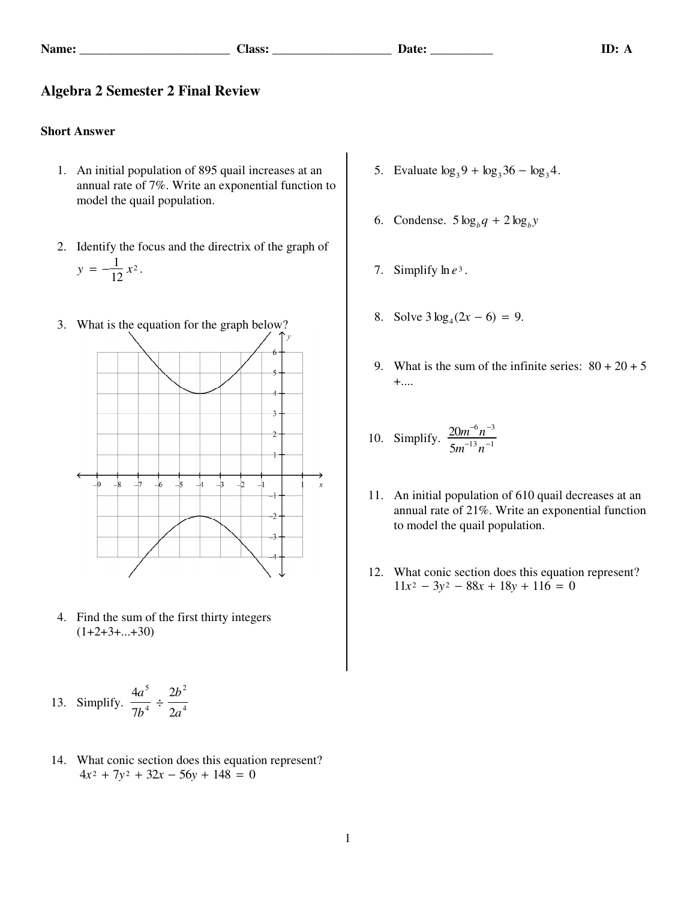## **Algebra 2 Semester 2 Final Review**

## **Short Answer**

- 1. An initial population of 895 quail increases at an annual rate of 7%. Write an exponential function to model the quail population.
- 2. Identify the focus and the directrix of the graph of  $y = -\frac{1}{12}x^2$ .
- 3. What is the equation for the graph below?



 4. Find the sum of the first thirty integers  $(1+2+3+...+30)$ 

13. Simplify. 
$$
\frac{4a^5}{7b^4} \div \frac{2b^2}{2a^4}
$$

 14. What conic section does this equation represent?  $4x^2 + 7y^2 + 32x - 56y + 148 = 0$ 

- 5. Evaluate  $\log_3 9 + \log_3 36 \log_3 4$ .
- 6. Condense.  $5 \log_b q + 2 \log_b y$
- 7. Simplify  $\ln e^3$ .
- 8. Solve  $3\log_4(2x-6) = 9$ .
- 9. What is the sum of the infinite series:  $80 + 20 + 5$ +....

10. Simplify. 
$$
\frac{20m^{-6}n^{-3}}{5m^{-13}n^{-1}}
$$

- 11. An initial population of 610 quail decreases at an annual rate of 21%. Write an exponential function to model the quail population.
- 12. What conic section does this equation represent?  $11x^2 - 3y^2 - 88x + 18y + 116 = 0$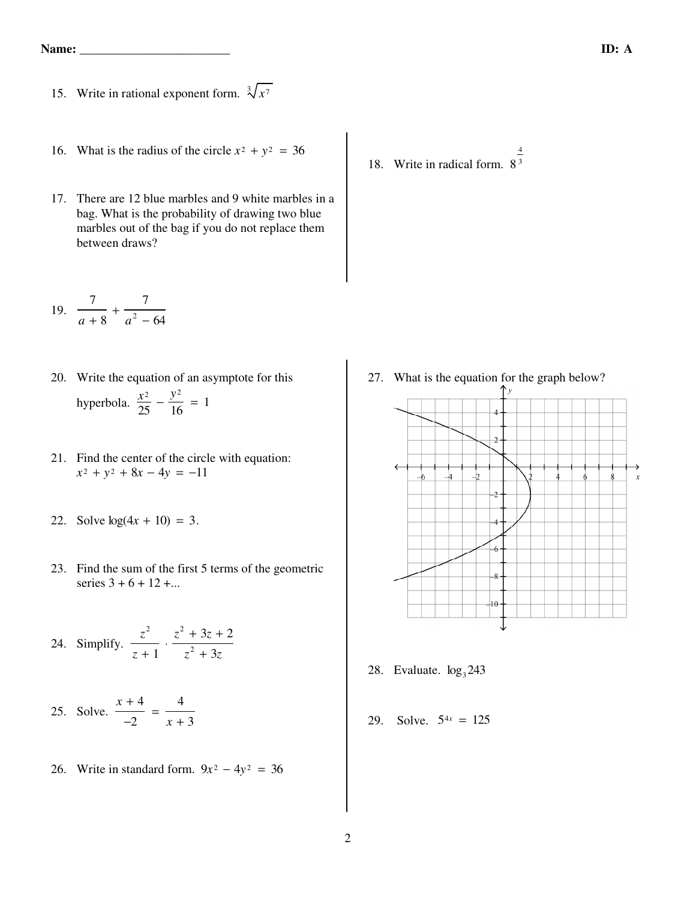- 15. Write in rational exponent form.  $\sqrt[3]{x^7}$ 
	- 16. What is the radius of the circle  $x^2 + y^2 = 36$
	- 17. There are 12 blue marbles and 9 white marbles in a bag. What is the probability of drawing two blue marbles out of the bag if you do not replace them between draws?
- 19. 7 *a* + 8  $+\frac{7}{1}$  $a^2 - 64$ 
	- 20. Write the equation of an asymptote for this hyperbola.  $\frac{x^2}{25} - \frac{y^2}{16} = 1$
	- 21. Find the center of the circle with equation:  $x^2 + y^2 + 8x - 4y = -11$
	- 22. Solve  $log(4x + 10) = 3$ .
	- 23. Find the sum of the first 5 terms of the geometric series  $3 + 6 + 12 + ...$
- 24. Simplify. *z* 2 *z* + 1  $\frac{z^2 + 3z + 2}{2}$  $z^2 + 3z$  25. Solve.  $x + 4$ −2  $=$   $\frac{4}{1}$ *x* + 3
	- 26. Write in standard form.  $9x^2 4y^2 = 36$

18. Write in radical form. 8 4 3

- 27. What is the equation for the graph below? Tу  $\frac{1}{2}$  $\overline{6}$  $\overline{A}$ 6  $\boldsymbol{x}$  $\overline{8}$  $\theta$
- 28. Evaluate.  $log_3 243$
- 29. Solve.  $5^{4x} = 125$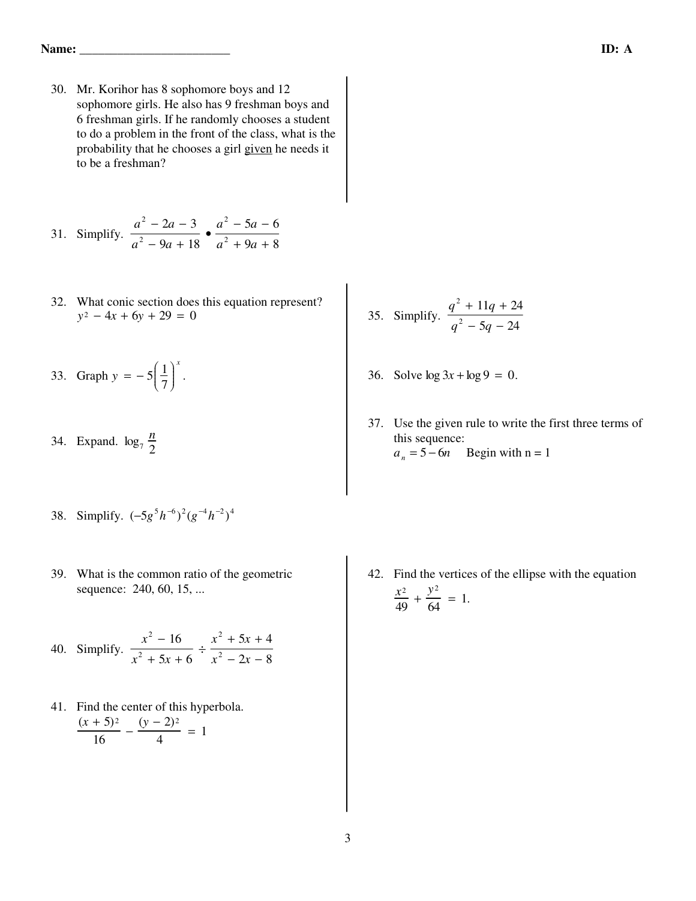30. Mr. Korihor has 8 sophomore boys and 12 sophomore girls. He also has 9 freshman boys and 6 freshman girls. If he randomly chooses a student to do a problem in the front of the class, what is the probability that he chooses a girl given he needs it to be a freshman?

31. Simplify. 
$$
\frac{a^2 - 2a - 3}{a^2 - 9a + 18} \cdot \frac{a^2 - 5a - 6}{a^2 + 9a + 8}
$$

- 32. What conic section does this equation represent?  $y^2 - 4x + 6y + 29 = 0$
- 33. Graph  $y = -5 \frac{1}{7}$ 7 Ê Ë  $\int$ ˆ  $\overline{J}$  $\begin{matrix} \phantom{\Big|} \phantom{\Big|} \end{matrix}$ *x* .
- 34. Expand.  $\log_7 \frac{n}{2}$ 2
- 38. Simplify.  $(-5g^5h^{-6})^2(g^{-4}h^{-2})^4$ 
	- 39. What is the common ratio of the geometric sequence: 240, 60, 15, ...

 40. Simplify.  $x^2 - 16$  $x^2 + 5x + 6$  $\frac{x^2 + 5x + 4}{2}$  $x^2 - 2x - 8$ 

 41. Find the center of this hyperbola.  $(x + 5)^2$  $\frac{1-3y^2}{16}$  – (*y* − 2)<sup>2</sup>  $\frac{2f^2}{4} = 1$ 

- 35. Simplify. *q* 2 + 11*q* + 24 *q* 2 − 5*q* − 24
- 36. Solve  $\log 3x + \log 9 = 0$ .
- 37. Use the given rule to write the first three terms of this sequence:  $a_n = 5 - 6n$  Begin with n = 1

42. Find the vertices of the ellipse with the equation  $rac{x^2}{49} + \frac{y^2}{64} = 1.$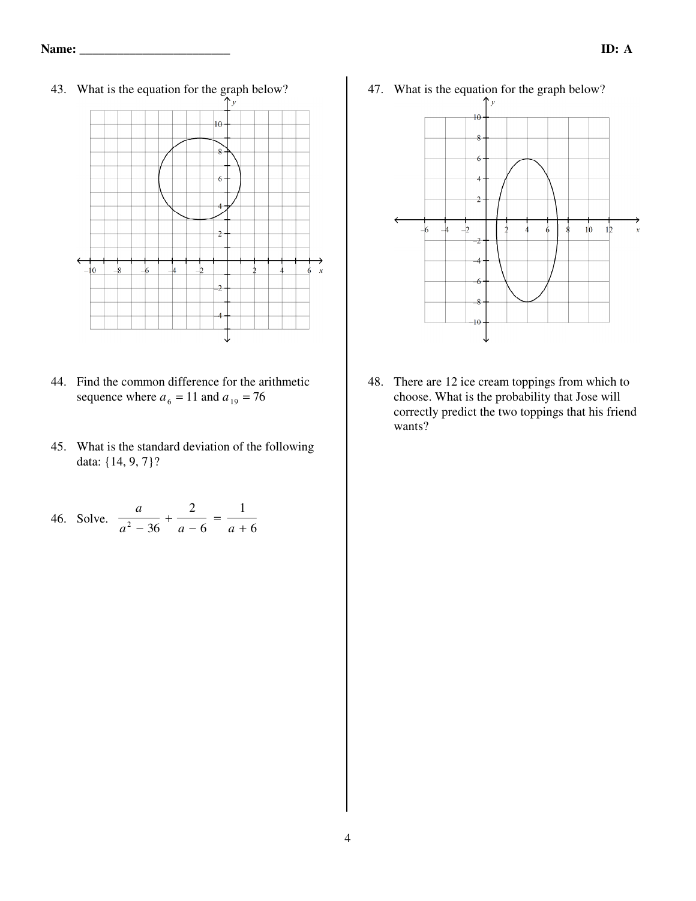

- 44. Find the common difference for the arithmetic sequence where  $a_6 = 11$  and  $a_{19} = 76$
- 45. What is the standard deviation of the following data: {14, 9, 7}?

46. Solve. 
$$
\frac{a}{a^2 - 36} + \frac{2}{a - 6} = \frac{1}{a + 6}
$$

47. What is the equation for the graph below?



48. There are 12 ice cream toppings from which to choose. What is the probability that Jose will correctly predict the two toppings that his friend wants?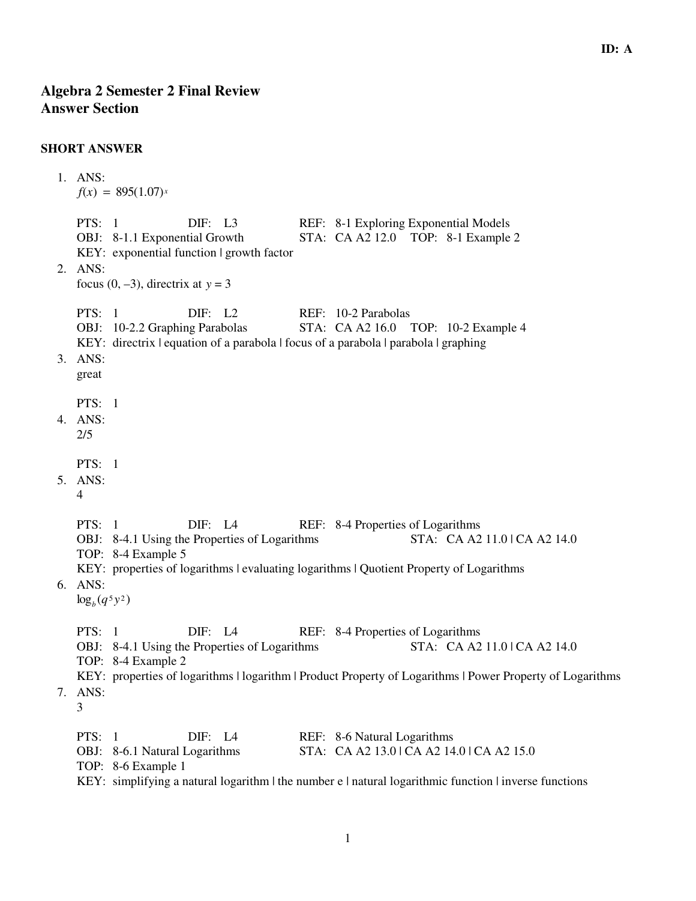## **SHORT ANSWER**

```
 1. ANS: 
  f(x) = 895(1.07)x
  PTS: 1 DIF: L3 REF: 8-1 Exploring Exponential Models
  OBJ: 8-1.1 Exponential Growth STA: CA A2 12.0 TOP: 8-1 Example 2
  KEY: exponential function | growth factor 
2. ANS: 
  focus (0, -3), directrix at y = 3PTS: 1 DIF: L2 REF: 10-2 Parabolas
  OBJ: 10-2.2 Graphing Parabolas STA: CA A2 16.0 TOP: 10-2 Example 4
  KEY: directrix | equation of a parabola | focus of a parabola | parabola | graphing
3. ANS: 
  great
  PTS: 1
4. ANS: 
  2/5
  PTS: 1
5. ANS: 
  4
  PTS: 1 DIF: L4 REF: 8-4 Properties of Logarithms
  OBJ: 8-4.1 Using the Properties of Logarithms STA: CA A2 11.0 | CA A2 14.0
  TOP: 8-4 Example 5 
  KEY: properties of logarithms | evaluating logarithms | Quotient Property of Logarithms
6. ANS: 
  \log_b(q^5 y^2)PTS: 1 DIF: L4 REF: 8-4 Properties of Logarithms
  OBJ: 8-4.1 Using the Properties of Logarithms STA: CA A2 11.0 | CA A2 14.0
  TOP: 8-4 Example 2 
  KEY: properties of logarithms | logarithm | Product Property of Logarithms | Power Property of Logarithms
7. ANS: 
  3
  PTS: 1 DIF: L4 REF: 8-6 Natural Logarithms
  OBJ: 8-6.1 Natural Logarithms STA: CA A2 13.0 | CA A2 14.0 | CA A2 15.0
  TOP: 8-6 Example 1 
  KEY: simplifying a natural logarithm \vert the number e \vert natural logarithmic function \vert inverse functions
```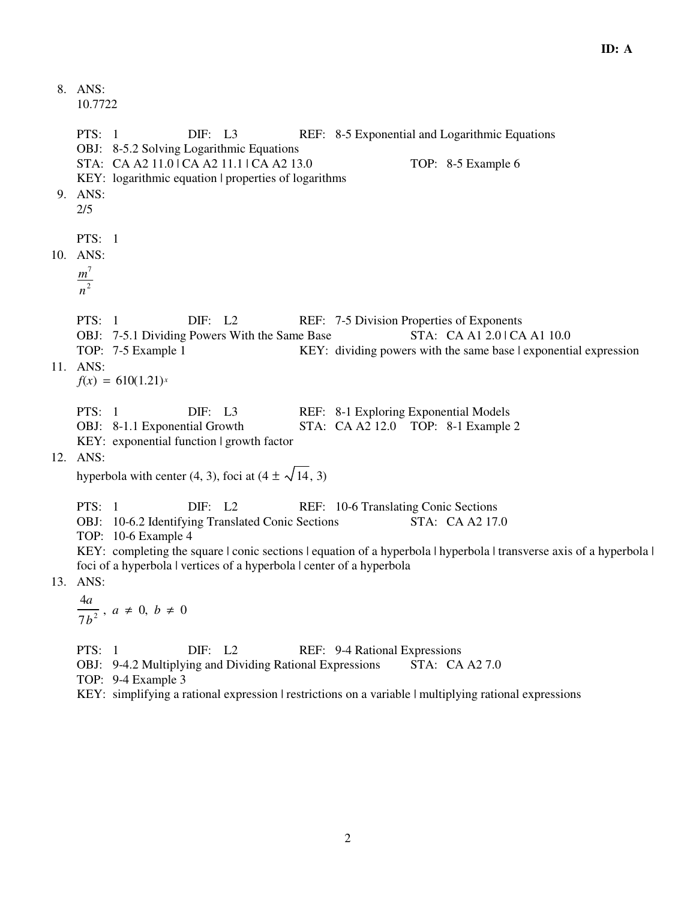8. ANS: 10.7722 PTS: 1 DIF: L3 REF: 8-5 Exponential and Logarithmic Equations OBJ: 8-5.2 Solving Logarithmic Equations STA: CA A2 11.0 | CA A2 11.1 | CA A2 13.0 TOP: 8-5 Example 6 KEY: logarithmic equation | properties of logarithms 9. ANS: 2/5 PTS: 1 10. ANS: *m* 7 *n* 2 PTS: 1 DIF: L2 REF: 7-5 Division Properties of Exponents OBJ: 7-5.1 Dividing Powers With the Same Base STA: CA A1 2.0 | CA A1 10.0 TOP: 7-5 Example 1 KEY: dividing powers with the same base | exponential expression 11. ANS:  $f(x) = 610(1.21)^{x}$ PTS: 1 DIF: L3 REF: 8-1 Exploring Exponential Models OBJ: 8-1.1 Exponential Growth STA: CA A2 12.0 TOP: 8-1 Example 2 KEY: exponential function | growth factor 12. ANS: hyperbola with center (4, 3), foci at (4  $\pm \sqrt{14}$ , 3) PTS: 1 DIF: L2 REF: 10-6 Translating Conic Sections OBJ: 10-6.2 Identifying Translated Conic Sections STA: CA A2 17.0 TOP: 10-6 Example 4 KEY: completing the square | conic sections | equation of a hyperbola | hyperbola | transverse axis of a hyperbola | foci of a hyperbola | vertices of a hyperbola | center of a hyperbola 13. ANS: 4*a*  $\frac{a}{7b^2}$ ,  $a \neq 0$ ,  $b \neq 0$ PTS: 1 DIF: L2 REF: 9-4 Rational Expressions OBJ: 9-4.2 Multiplying and Dividing Rational Expressions STA: CA A2 7.0 TOP: 9-4 Example 3 KEY: simplifying a rational expression | restrictions on a variable | multiplying rational expressions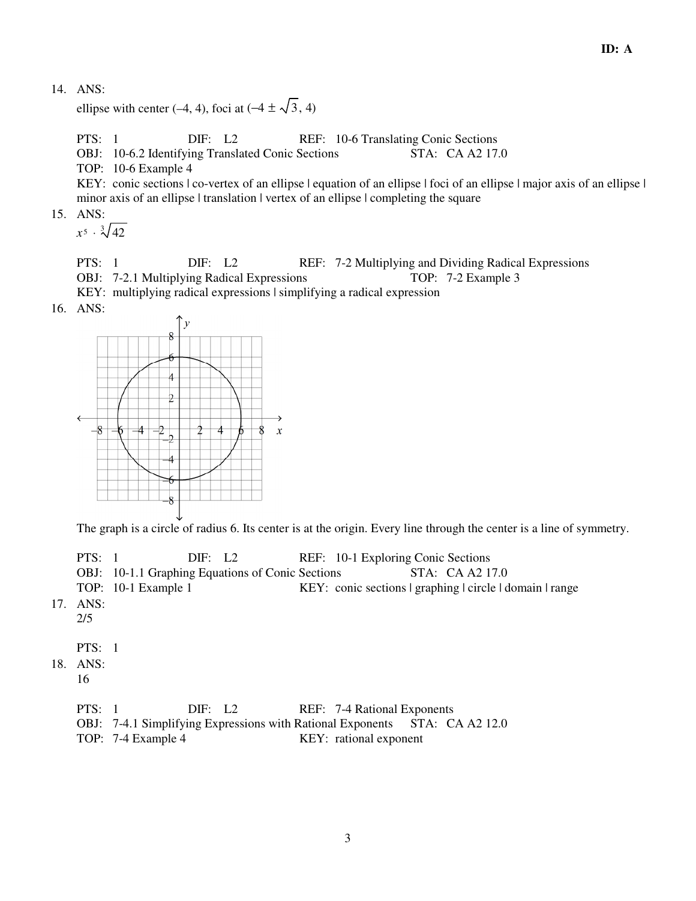ellipse with center (–4, 4), foci at (–4  $\pm \sqrt{3}$ , 4)

PTS: 1 DIF: L2 REF: 10-6 Translating Conic Sections

OBJ: 10-6.2 Identifying Translated Conic Sections STA: CA A2 17.0

TOP: 10-6 Example 4

KEY: conic sections  $|$  co-vertex of an ellipse  $|$  equation of an ellipse  $|$  foci of an ellipse  $|$  major axis of an ellipse  $|$ minor axis of an ellipse | translation | vertex of an ellipse | completing the square

15. ANS:

 $x^5 \cdot \sqrt[3]{42}$ 

PTS: 1 DIF: L2 REF: 7-2 Multiplying and Dividing Radical Expressions OBJ: 7-2.1 Multiplying Radical Expressions TOP: 7-2 Example 3

KEY: multiplying radical expressions | simplifying a radical expression

16. ANS:



The graph is a circle of radius 6. Its center is at the origin. Every line through the center is a line of symmetry.

| PTS: 1 | $\text{DIF:} \quad \text{L2}$                           | REF: 10-1 Exploring Conic Sections                       |
|--------|---------------------------------------------------------|----------------------------------------------------------|
|        | <b>OBJ:</b> 10-1.1 Graphing Equations of Conic Sections | STA: CA A2 17.0                                          |
|        | TOP: 10-1 Example 1                                     | KEY: conic sections   graphing   circle   domain   range |
| ANS:   |                                                         |                                                          |

 $17.$ 2/5

PTS: 1

- 18. ANS:
	- 16

| <b>PTS</b> : 1 |          | DIF: L2  |  | REF: 7-4 Rational Exponents |                                                  |  |
|----------------|----------|----------|--|-----------------------------|--------------------------------------------------|--|
|                | $\Omega$ | $\cdots$ |  |                             | $\sim$ $\sim$ $\sim$ $\sim$ $\sim$ $\sim$ $\sim$ |  |

- OBJ: 7-4.1 Simplifying Expressions with Rational Exponents STA: CA A2 12.0
- TOP: 7-4 Example 4 KEY: rational exponent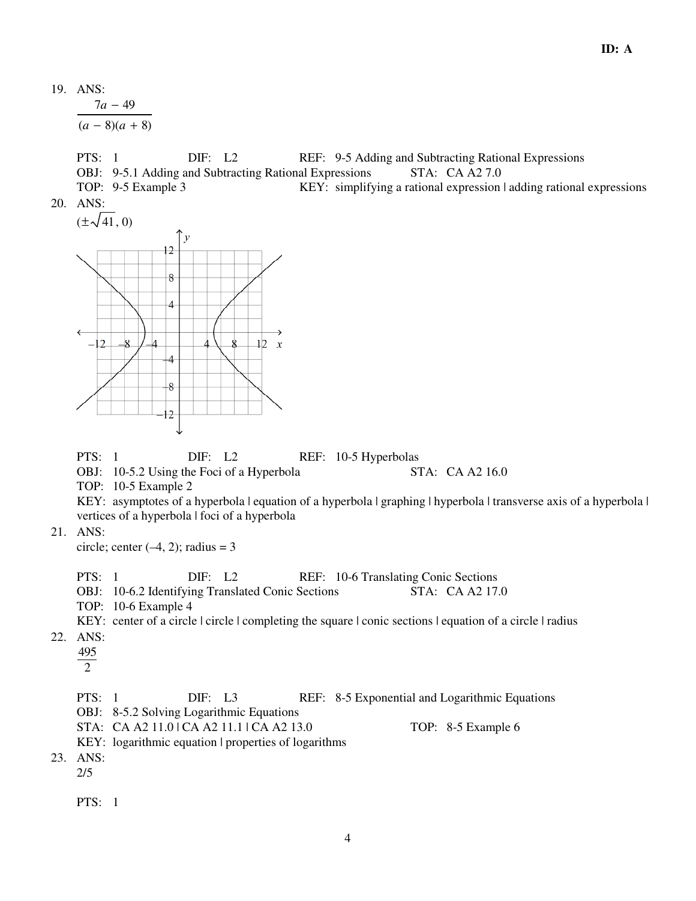7*a* − 49  $(a-8)(a+8)$ 

PTS: 1 DIF: L2 REF: 9-5 Adding and Subtracting Rational Expressions OBJ: 9-5.1 Adding and Subtracting Rational Expressions STA: CA A2 7.0

TOP: 9-5 Example 3 KEY: simplifying a rational expression | adding rational expressions 20. ANS:

 $(\pm \sqrt{41}, 0)$ 



PTS: 1 DIF: L2 REF: 10-5 Hyperbolas

OBJ: 10-5.2 Using the Foci of a Hyperbola STA: CA A2 16.0

TOP: 10-5 Example 2

KEY: asymptotes of a hyperbola | equation of a hyperbola | graphing | hyperbola | transverse axis of a hyperbola | vertices of a hyperbola | foci of a hyperbola

21. ANS:

circle; center  $(-4, 2)$ ; radius = 3

PTS: 1 DIF: L2 REF: 10-6 Translating Conic Sections

- OBJ: 10-6.2 Identifying Translated Conic Sections STA: CA A2 17.0
- TOP: 10-6 Example 4

KEY: center of a circle | circle | completing the square | conic sections | equation of a circle | radius

22. ANS:

495

 $\overline{2}$ 

PTS: 1 DIF: L3 REF: 8-5 Exponential and Logarithmic Equations

- OBJ: 8-5.2 Solving Logarithmic Equations
- STA: CA A2 11.0 | CA A2 11.1 | CA A2 13.0 TOP: 8-5 Example 6
- KEY: logarithmic equation | properties of logarithms
- 23. ANS:

2/5

PTS: 1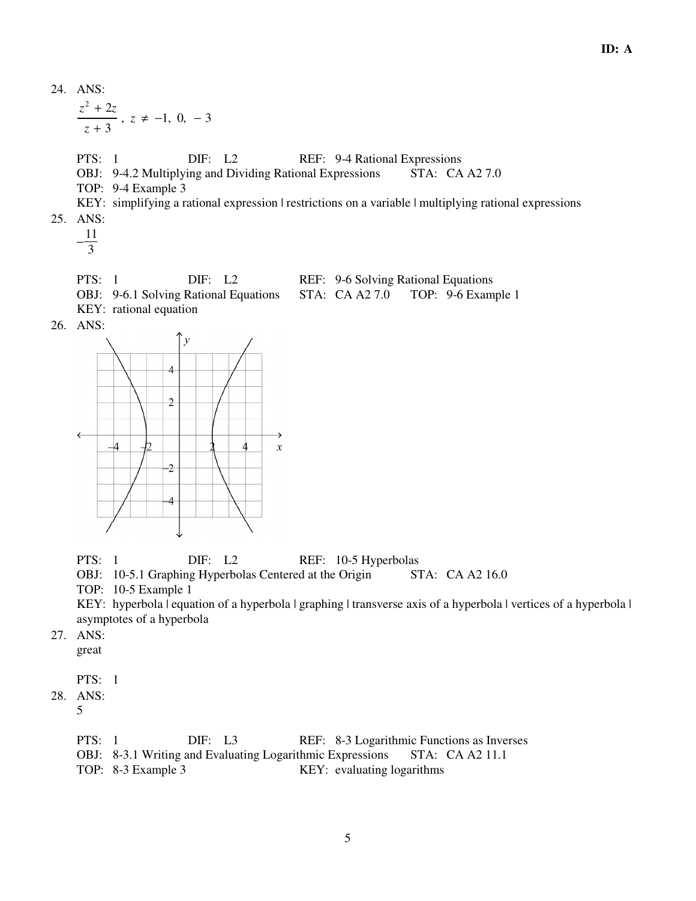$$
\frac{z^2 + 2z}{z + 3}
$$
,  $z ≠ -1$ , 0,  $-3$   
\n
$$
PTS: 1
$$
\n
$$
OBI: 9-4.2 \text{ Multiplying and Dividing Rational Expressions}
$$
\n
$$
STA: CA A2 7.0
$$
\n
$$
TOP: 9-4 Example 3
$$
\n
$$
KEY: simplifying a rational expression 1 restrictions on a variable 1 multiplying rational expressions 25. \nANS: \n
$$
\frac{11}{3}
$$
\n
$$
PTS: 1
$$
\n
$$
DIF: L2
$$
\n
$$
REF: 9-6 Solving Rational Equations 25. \n
$$
OTA: CA A2 7.0
$$
\n
$$
TOP: 9-6 Example 1
$$
\n
$$
KEY: rational equation
$$
\n
$$
26. \nANS: \n
$$
\begin{pmatrix}\n y \\
4 \\
4\n \end{pmatrix}
$$
\n
$$
2\n \begin{pmatrix}\n 1 \\
2 \\
4\n \end{pmatrix}
$$
\n
$$
3\n \begin{pmatrix}\n y \\
4 \\
2\n \end{pmatrix}
$$
\n
$$
4\n \begin{pmatrix}\n y \\
2 \\
2\n \end{pmatrix}
$$
\n
$$
3\n \begin{pmatrix}\n y \\
4 \\
2\n \end{pmatrix}
$$
\n
$$
4\n \begin{pmatrix}\n y \\
2 \\
2\n \end{pmatrix}
$$
\n
$$
3\n \begin{pmatrix}\n y \\
2 \\
2\n \end{pmatrix}
$$
\n
$$
4\n \begin{pmatrix}\n y \\
2 \\
2\n \end{pmatrix}
$$
\n
$$
3\n \begin{pmatrix}\n y \\
2 \\
2\n \end{pmatrix}
$$
\n
$$
4\n \begin{pmatrix}\n 2 \\
2 \\
2\n \end{pmatrix}
$$
\n
$$
3\n \begin{pmatrix}\n 1 \\
2 \\
2\n \end{pmatrix}
$$
\n
$$
4\n \begin{pmatrix}\n 2 \\
2 \\
2\n \end{pmatrix}
$$
\n
$$
3\n \begin{pmatrix}\n 3 \\
2 \\
2\n \end{pmatrix}
$$
\n
$$
4\n \begin{pmatrix}\n 2 \\
2 \\
2\n \end{pmatrix}
$$
\n
$$
$$
$$

PTS: 1 DIF: L2 REF: 10-5 Hyperbolas

OBJ: 10-5.1 Graphing Hyperbolas Centered at the Origin STA: CA A2 16.0

TOP: 10-5 Example 1

KEY: hyperbola | equation of a hyperbola | graphing | transverse axis of a hyperbola | vertices of a hyperbola | asymptotes of a hyperbola

 27. ANS: great

PTS: 1

28. ANS:

5

| PTS: 1 |                                                                           | DIF: L3 |  | REF: 8-3 Logarithmic Functions as Inverses |  |  |
|--------|---------------------------------------------------------------------------|---------|--|--------------------------------------------|--|--|
|        | OBJ: 8-3.1 Writing and Evaluating Logarithmic Expressions STA: CA A2 11.1 |         |  |                                            |  |  |
|        | TOP: 8-3 Example 3                                                        |         |  | KEY: evaluating logarithms                 |  |  |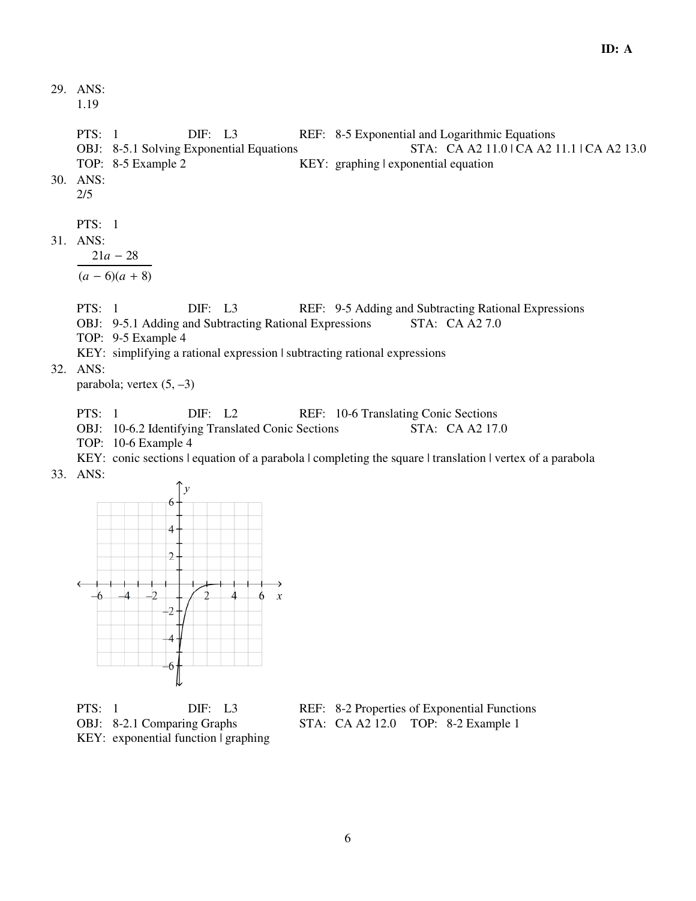1.19

PTS: 1 DIF: L3 REF: 8-5 Exponential and Logarithmic Equations OBJ: 8-5.1 Solving Exponential Equations STA: CA A2 11.0 | CA A2 11.1 | CA A2 13.0 TOP: 8-5 Example 2 KEY: graphing | exponential equation 30. ANS: 2/5 PTS: 1 31. ANS: 21*a* − 28  $(a - 6)(a + 8)$ PTS: 1 DIF: L3 REF: 9-5 Adding and Subtracting Rational Expressions OBJ: 9-5.1 Adding and Subtracting Rational Expressions STA: CA A2 7.0 TOP: 9-5 Example 4 KEY: simplifying a rational expression | subtracting rational expressions 32. ANS: parabola; vertex  $(5, -3)$ PTS: 1 DIF: L2 REF: 10-6 Translating Conic Sections OBJ: 10-6.2 Identifying Translated Conic Sections STA: CA A2 17.0 TOP: 10-6 Example 4

KEY: conic sections | equation of a parabola | completing the square | translation | vertex of a parabola 33. ANS:



KEY: exponential function | graphing

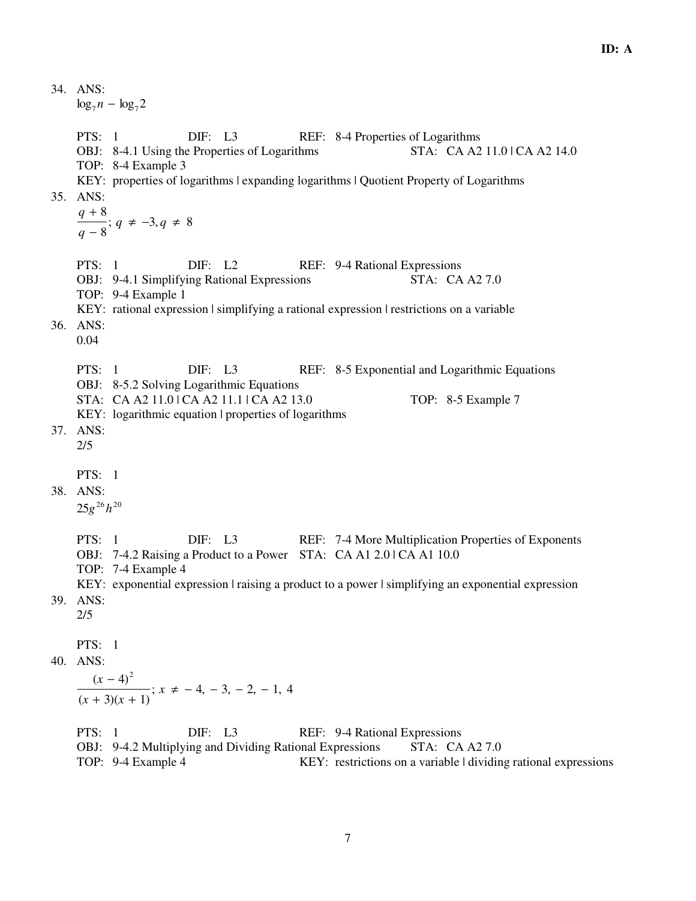34. ANS:  $\log_7 n - \log_7 2$ PTS: 1 DIF: L3 REF: 8-4 Properties of Logarithms OBJ: 8-4.1 Using the Properties of Logarithms STA: CA A2 11.0 | CA A2 14.0 TOP: 8-4 Example 3 KEY: properties of logarithms | expanding logarithms | Quotient Property of Logarithms 35. ANS: *q* + 8 *q* − 8 ;  $q ≠ -3, q ≠ 8$ PTS: 1 DIF: L2 REF: 9-4 Rational Expressions OBJ: 9-4.1 Simplifying Rational Expressions STA: CA A2 7.0 TOP: 9-4 Example 1 KEY: rational expression | simplifying a rational expression | restrictions on a variable 36. ANS: 0.04 PTS: 1 DIF: L3 REF: 8-5 Exponential and Logarithmic Equations OBJ: 8-5.2 Solving Logarithmic Equations STA: CA A2 11.0 | CA A2 11.1 | CA A2 13.0 TOP: 8-5 Example 7 KEY: logarithmic equation | properties of logarithms 37. ANS: 2/5 PTS: 1 38. ANS: 25*g* <sup>26</sup> *h* 20 PTS: 1 DIF: L3 REF: 7-4 More Multiplication Properties of Exponents OBJ: 7-4.2 Raising a Product to a Power STA: CA A1 2.0 | CA A1 10.0 TOP: 7-4 Example 4 KEY: exponential expression | raising a product to a power | simplifying an exponential expression 39. ANS: 2/5 PTS: 1 40. ANS:  $(x - 4)^2$  $(x + 3)(x + 1)$ ;  $x \neq -4, -3, -2, -1, 4$ PTS: 1 DIF: L3 REF: 9-4 Rational Expressions OBJ: 9-4.2 Multiplying and Dividing Rational Expressions STA: CA A27.0 TOP: 9-4 Example 4 KEY: restrictions on a variable | dividing rational expressions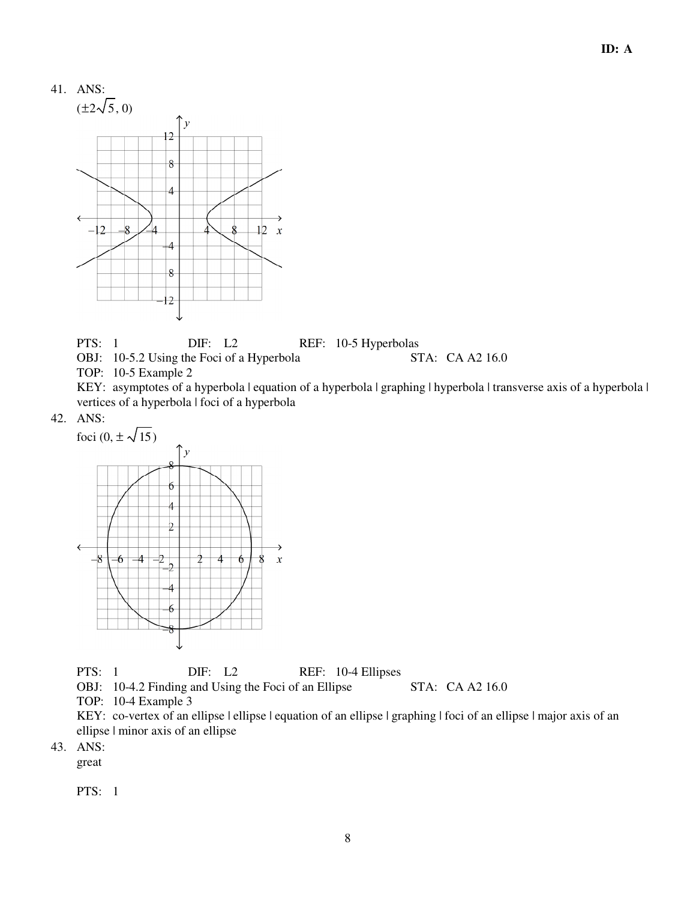

PTS: 1 DIF: L2 REF: 10-5 Hyperbolas<br>OBJ: 10-5.2 Using the Foci of a Hyperbola STA: CA A2 16.0

OBJ:  $10-5.2$  Using the Foci of a Hyperbola TOP: 10-5 Example 2

KEY: asymptotes of a hyperbola | equation of a hyperbola | graphing | hyperbola | transverse axis of a hyperbola | vertices of a hyperbola | foci of a hyperbola

42. ANS:



PTS: 1 DIF: L2 REF: 10-4 Ellipses

OBJ: 10-4.2 Finding and Using the Foci of an Ellipse STA: CA A2 16.0

TOP: 10-4 Example 3

KEY: co-vertex of an ellipse | ellipse | equation of an ellipse | graphing | foci of an ellipse | major axis of an ellipse | minor axis of an ellipse

43. ANS:

great

PTS: 1